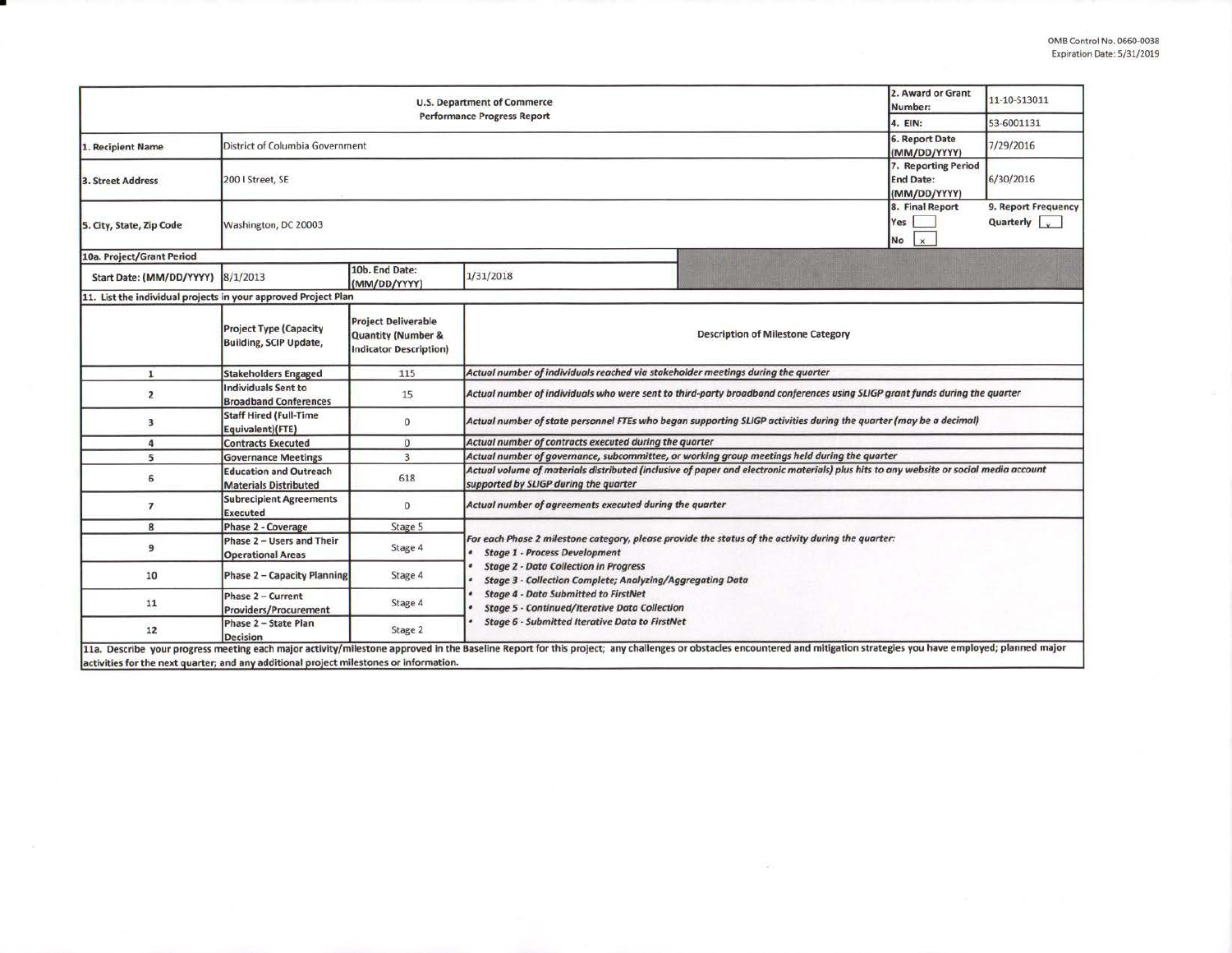| <b>U.S. Department of Commerce</b>                                                     |                                                                |                                                                                              |                                                                                                                                                                                                                         |  | 2. Award or Grant<br>11-10-513011<br>Number:        |                                    |  |  |  |
|----------------------------------------------------------------------------------------|----------------------------------------------------------------|----------------------------------------------------------------------------------------------|-------------------------------------------------------------------------------------------------------------------------------------------------------------------------------------------------------------------------|--|-----------------------------------------------------|------------------------------------|--|--|--|
| <b>Performance Progress Report</b>                                                     |                                                                |                                                                                              |                                                                                                                                                                                                                         |  |                                                     | 53-6001131                         |  |  |  |
| 1. Recipient Name                                                                      | District of Columbia Government                                |                                                                                              |                                                                                                                                                                                                                         |  |                                                     | 7/29/2016                          |  |  |  |
| 3. Street Address                                                                      | 200   Street, SE                                               |                                                                                              |                                                                                                                                                                                                                         |  |                                                     | 6/30/2016                          |  |  |  |
| 5. City, State, Zip Code                                                               | Washington, DC 20003                                           |                                                                                              |                                                                                                                                                                                                                         |  | 8. Final Report<br>Yes<br>$\mathbf{x}$<br><b>No</b> | 9. Report Frequency<br>Quarterly v |  |  |  |
| 10a. Project/Grant Period                                                              |                                                                |                                                                                              |                                                                                                                                                                                                                         |  |                                                     |                                    |  |  |  |
| Start Date: (MM/DD/YYYY)                                                               | 8/1/2013                                                       | 10b. End Date:<br>(MM/DD/YYYY)                                                               | 1/31/2018                                                                                                                                                                                                               |  |                                                     |                                    |  |  |  |
| 11. List the individual projects in your approved Project Plan                         |                                                                |                                                                                              |                                                                                                                                                                                                                         |  |                                                     |                                    |  |  |  |
|                                                                                        | <b>Project Type (Capacity</b><br><b>Building, SCIP Update,</b> | <b>Project Deliverable</b><br><b>Quantity (Number &amp;</b><br><b>Indicator Description)</b> | <b>Description of Milestone Category</b>                                                                                                                                                                                |  |                                                     |                                    |  |  |  |
| $\mathbf{1}$                                                                           | <b>Stakeholders Engaged</b>                                    | 115                                                                                          | Actual number of individuals reached via stakeholder meetings during the quarter                                                                                                                                        |  |                                                     |                                    |  |  |  |
| $\overline{2}$                                                                         | <b>Individuals Sent to</b><br><b>Broadband Conferences</b>     | 15                                                                                           | Actual number of individuals who were sent to third-party broadband conferences using SLIGP grant funds during the quarter                                                                                              |  |                                                     |                                    |  |  |  |
| $\overline{\mathbf{3}}$                                                                | <b>Staff Hired (Full-Time</b><br>Equivalent)(FTE)              | $\mathbf{0}$                                                                                 | Actual number of state personnel FTEs who began supporting SLIGP activities during the quarter (may be a decimal)                                                                                                       |  |                                                     |                                    |  |  |  |
| $\overline{a}$                                                                         | <b>Contracts Executed</b>                                      | $\mathbf{0}$                                                                                 | Actual number of contracts executed during the quarter                                                                                                                                                                  |  |                                                     |                                    |  |  |  |
| 5                                                                                      | <b>Governance Meetings</b>                                     | $\overline{3}$                                                                               | Actual number of governance, subcommittee, or working group meetings held during the quarter                                                                                                                            |  |                                                     |                                    |  |  |  |
| 6                                                                                      | <b>Education and Outreach</b><br><b>Materials Distributed</b>  | 618                                                                                          | Actual volume of materials distributed (inclusive of paper and electronic materials) plus hits to any website or social media account<br>supported by SLIGP during the quarter                                          |  |                                                     |                                    |  |  |  |
| $\overline{7}$                                                                         | <b>Subrecipient Agreements</b><br><b>Executed</b>              | $\mathbf{0}$                                                                                 | Actual number of agreements executed during the quarter                                                                                                                                                                 |  |                                                     |                                    |  |  |  |
| 8                                                                                      | Phase 2 - Coverage                                             | Stage 5                                                                                      |                                                                                                                                                                                                                         |  |                                                     |                                    |  |  |  |
| 9                                                                                      | Phase 2 - Users and Their<br><b>Operational Areas</b>          | Stage 4                                                                                      | For each Phase 2 milestone category, please provide the status of the activity during the quarter:<br><b>Stage 1 - Process Development</b>                                                                              |  |                                                     |                                    |  |  |  |
| 10                                                                                     | Phase 2 - Capacity Planning                                    | Stage 4                                                                                      | <b>Stage 2 - Data Collection in Progress</b><br><b>Stage 3 - Collection Complete; Analyzing/Aggregating Data</b><br><b>Stage 4 - Data Submitted to FirstNet</b><br><b>Stage 5 - Continued/Iterative Data Collection</b> |  |                                                     |                                    |  |  |  |
| 11                                                                                     | Phase 2 - Current<br><b>Providers/Procurement</b>              | Stage 4                                                                                      |                                                                                                                                                                                                                         |  |                                                     |                                    |  |  |  |
| 12                                                                                     | Phase 2 - State Plan<br><b>Decision</b>                        | Stage 2                                                                                      | <b>Stage 6 - Submitted Iterative Data to FirstNet</b>                                                                                                                                                                   |  |                                                     |                                    |  |  |  |
| activities for the next quarter; and any additional project milestones or information. |                                                                |                                                                                              | 11a. Describe your progress meeting each major activity/milestone approved in the Baseline Report for this project; any challenges or obstacles encountered and mitigation strategies you have employed; planned major  |  |                                                     |                                    |  |  |  |

•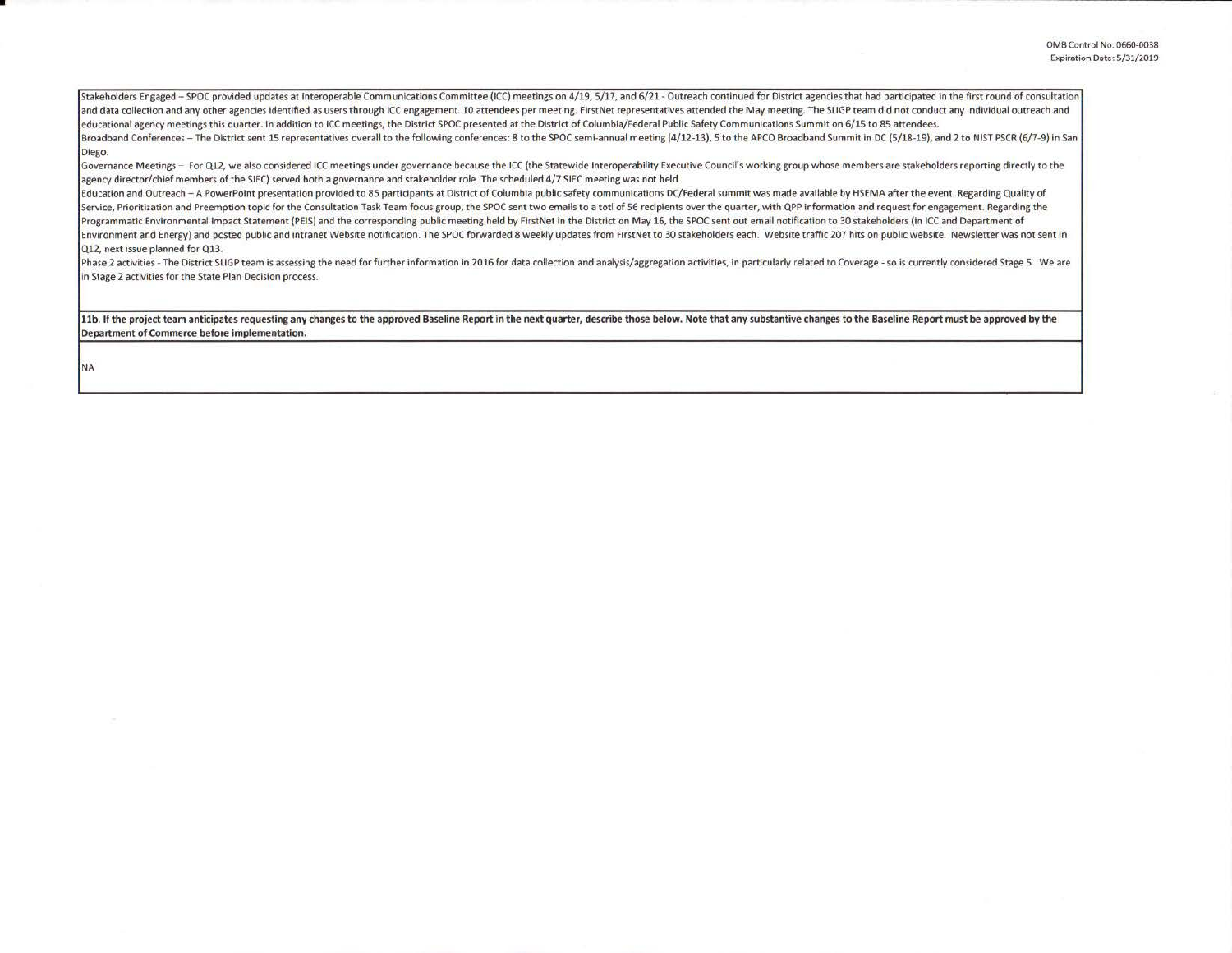Stakeholders Engaged - SPOC provided updates at Interoperable Communications Committee (ICC) meetings on 4/19, 5/17, and 6/21 - Outreach continued for District agencies that had participated in the first round of consultat and data collection and any other agencies identified as users through ICC engagement. 10 attendees per meeting. FirstNet representatives attended the May meeting. The SLIGP team did not conduct any individual outreach and educational agency meetings this quarter. In addition to ICC meetings, the District SPOC presented at the District of Columbia/Federal Public Safety Communications Summit on 6/15 to 85 attendees.

Broadband Conferences - The District sent 15 representatives overall to the following conferences: 8 to the SPOC semi-annual meeting (4/12-13), 5 to the APCO Broadband Summit in DC (5/18-19), and 2 to NIST PSCR (6/7-9) in Diego.

Governance Meetings - For Q12, we also considered ICC meetings under governance because the ICC (the Statewide Interoperability Executive Council's working group whose members are stakeholders reporting directly to the agency director/chief members of the SIEC) served both a governance and stakeholder role. The scheduled 4/7 SIEC meeting was not held.

Education and Outreach - A PowerPoint presentation provided to 85 participants at District of Columbia public safety communications DC/Federal summit was made available by HSEMA after the event. Regarding Quality of Service, Prioritization and Preemption topic for the Consultation Task Team focus group, the SPOC sent two emails to a totl of 56 recipients over the quarter, with QPP information and request for engagement. Regarding the Programmatic Environmental Impact Statement (PEIS) and the corresponding public meeting held by FirstNet in the District on May 16, the SPOC sent out email notification to 30 stakeholders (in ICC and Department of Environment and Energy) and posted public and intranet Website notification. The SPOC forwarded 8 weekly updates from FirstNet to 30 stakeholders each. Website traffic 207 hits on public website. Newsletter was not sent in Q12, next issue planned for Q13.

Phase 2 activities - The District SLIGP team is assessing the need for further information in 2016 for data collection and analysis/aggregation activities, in particularly related to Coverage - so is currently considered S in Stage 2 activities for the State Plan Decision process.

11b. If the project team anticipates requesting any changes to the approved Baseline Report in the next quarter, describe those below. Note that any substantive changes to the Baseline Report must be approved by the Department of Commerce before implementation.

NA

•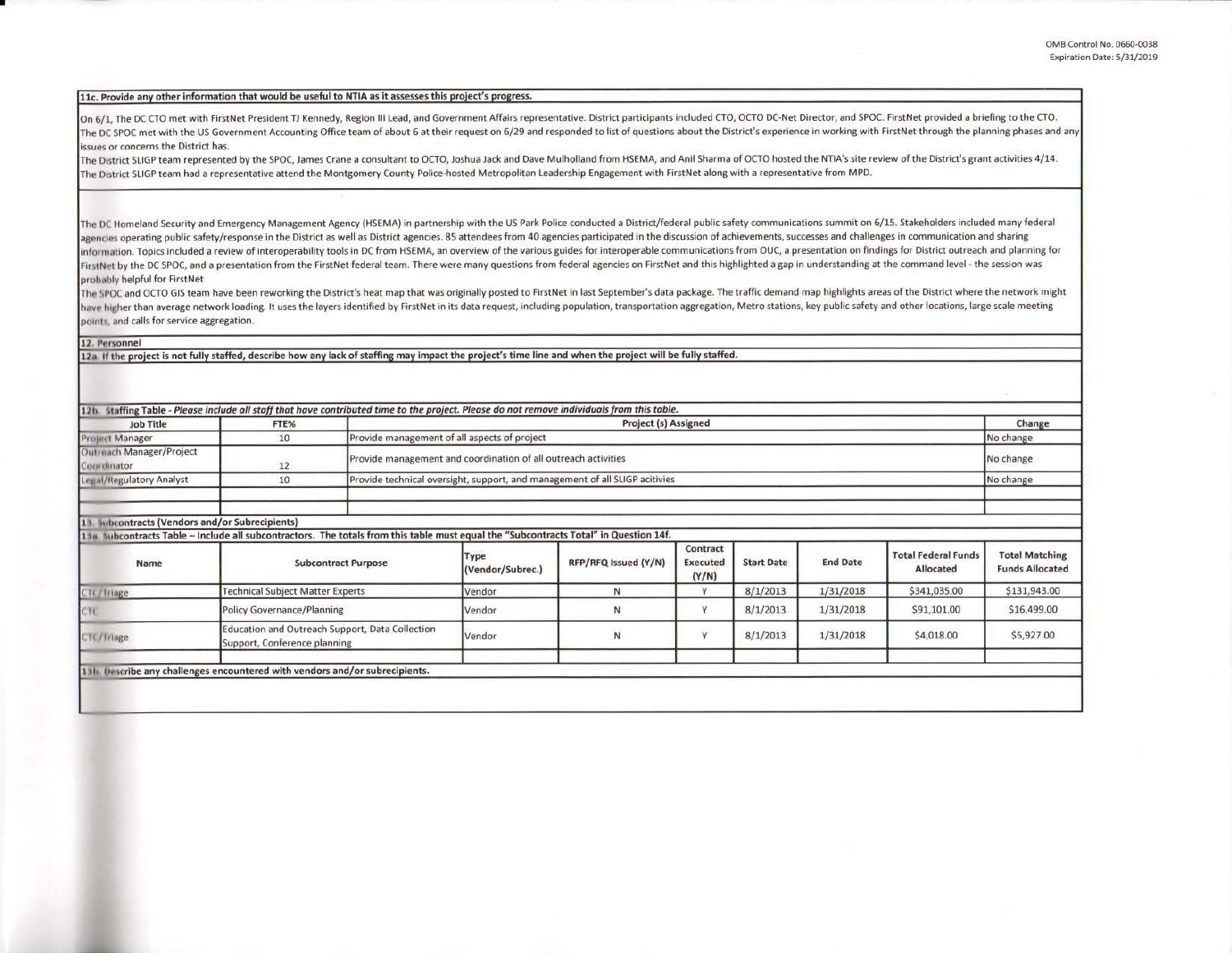## **11c. Provide any other** information **that would be** useful **to NTIA as** it **assesses** this orolect's **oroeress.**

On 6/1, The DC CTO met with FirstNet President TJ Kennedy, Region III Lead, and Government Affairs representative. District participants included CTO, OCTO DC-Net Director, and SPOC. FirstNet provided a briefing to the CTO The DC SPOC met with the US Government Accounting Office team of about 6 at their request on 6/29 and responded to list of questions about the District's experience in working with FirstNet through the planning phases and issues or concerns the District has.

The District SLIGP team represented by the SPOC, James Crane a consultant to OCTO, Joshua Jack and Dave Mulholland from HSEMA, and Anil Sharma of OCTO hosted the NTIA's site review of the District's grant activities 4/14. The District SUGP team had a representative attend the Montgomery County Police-hosted Metropolitan Leadership Engagement with FirstNet along with a representative from MPD.

The DC Homeland Security and Emergency Management Agency (HSEMA) in partnership with the US Park Police conducted a District/federal public safety communications summit on 6/15. Stakeholders included many federal agencies operating public safety/response in the District as well as District agencies. 85 attendees from 40 agencies participated in the discussion of achievements, successes and challenges in communication and sharing information. Topics included a review of interoperability tools in DC from HSEMA, an overview of the various guides for interoperable communications from OUC, a presentation on findings for District outreach and planning f FirstNet by the DC SPOC, and a presentation from the FirstNet federal team. There were many questions from federal agencies on FirstNet and this highlighted a gap in understanding at the command level - the session was probably helpful for FirstNet

The SPOC and OCTO GIS team have been reworking the District's heat map that was originally posted to FirstNet in last September's data package. The traffic demand map highlights areas of the District where the network migh have higher than average network loading. It uses the layers identified by FirstNet in its data request, including population, transportation aggregation, Metro stations, key public safety and other locations, large scale points, and calls for service aggregation.

## 12. Personnel

•

12a. If the project is not fully staffed, describe how any lack of staffing may impact the project's time line and when the project will be fully staffed.

| <b>Job Title</b>                                | FTE%                                                                            |                                                                                                                                        | 12b. Staffing Table - Please include all staff that have contributed time to the project. Please do not remove individuals from this table.<br>Project (s) Assigned |                      |                               |                   |                 |                                         | Change                                          |
|-------------------------------------------------|---------------------------------------------------------------------------------|----------------------------------------------------------------------------------------------------------------------------------------|---------------------------------------------------------------------------------------------------------------------------------------------------------------------|----------------------|-------------------------------|-------------------|-----------------|-----------------------------------------|-------------------------------------------------|
| <b>Project Manager</b>                          | 10                                                                              |                                                                                                                                        | Provide management of all aspects of project                                                                                                                        |                      |                               |                   |                 |                                         | No change                                       |
| Outreach Manager/Project<br>Coordinator         | 12                                                                              |                                                                                                                                        | Provide management and coordination of all outreach activities                                                                                                      |                      |                               |                   |                 |                                         | No change                                       |
| <b>Legal/Regulatory Analyst</b>                 | 10                                                                              |                                                                                                                                        | Provide technical oversight, support, and management of all SLIGP acitivies                                                                                         |                      |                               |                   |                 |                                         | No change                                       |
|                                                 |                                                                                 |                                                                                                                                        |                                                                                                                                                                     |                      |                               |                   |                 |                                         |                                                 |
| 11. Subcontracts (Vendors and/or Subrecipients) |                                                                                 |                                                                                                                                        |                                                                                                                                                                     |                      |                               |                   |                 |                                         |                                                 |
|                                                 |                                                                                 | 11a. Subcontracts Table -- Include all subcontractors. The totals from this table must equal the "Subcontracts Total" in Question 14f. |                                                                                                                                                                     |                      |                               |                   |                 |                                         |                                                 |
| Name                                            |                                                                                 | <b>Subcontract Purpose</b>                                                                                                             | Type<br>(Vendor/Subrec.)                                                                                                                                            | RFP/RFQ Issued (Y/N) | Contract<br>Executed<br>(Y/N) | <b>Start Date</b> | <b>End Date</b> | <b>Total Federal Funds</b><br>Allocated | <b>Total Matching</b><br><b>Funds Allocated</b> |
| CTL/Triage                                      | <b>Technical Subject Matter Experts</b>                                         |                                                                                                                                        | Vendor                                                                                                                                                              | N                    | Y                             | 8/1/2013          | 1/31/2018       | \$341,035.00                            | \$131,943.00                                    |
| CTC                                             | <b>Policy Governance/Planning</b>                                               |                                                                                                                                        | Vendor                                                                                                                                                              | N                    | Y                             | 8/1/2013          | 1/31/2018       | \$91,101.00                             | \$16,499.00                                     |
| CTC/Triage                                      | Education and Outreach Support, Data Collection<br>Support, Conference planning |                                                                                                                                        | Vendor                                                                                                                                                              | $\mathbb N$          | Y                             | 8/1/2013          | 1/31/2018       | \$4,018.00                              | \$5,927.00                                      |
|                                                 |                                                                                 |                                                                                                                                        |                                                                                                                                                                     |                      |                               |                   |                 |                                         |                                                 |
|                                                 | 131. Describe any challenges encountered with vendors and/or subrecipients.     |                                                                                                                                        |                                                                                                                                                                     |                      |                               |                   |                 |                                         |                                                 |